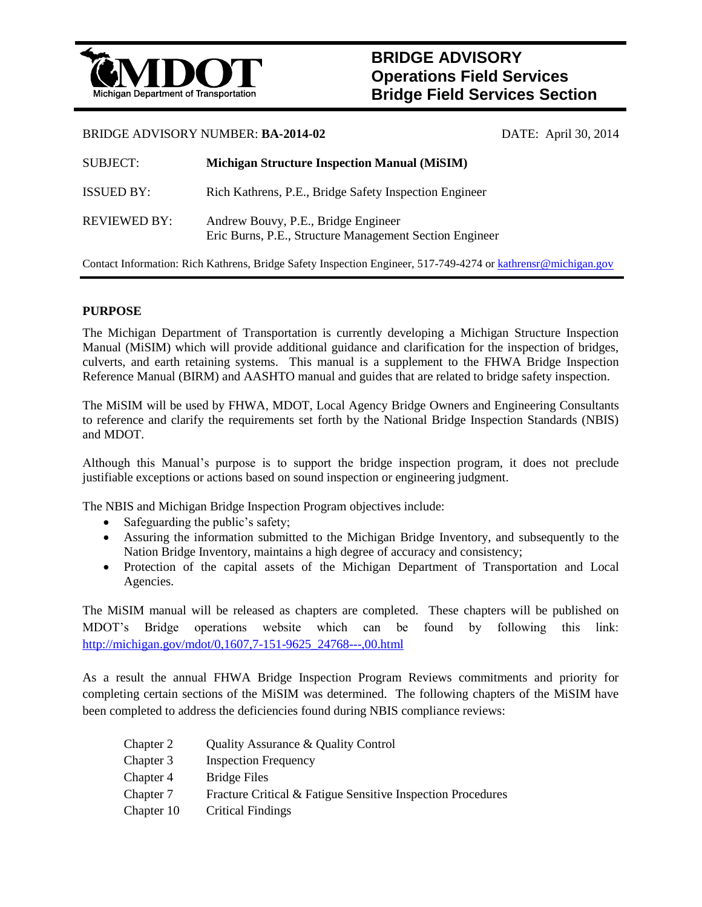

# **BRIDGE ADVISORY Operations Field Services Bridge Field Services Section**

## BRIDGE ADVISORY NUMBER: **BA-2014-02** DATE: April 30, 2014

| <b>SUBJECT:</b>     | <b>Michigan Structure Inspection Manual (MiSIM)</b>                                            |
|---------------------|------------------------------------------------------------------------------------------------|
| <b>ISSUED BY:</b>   | Rich Kathrens, P.E., Bridge Safety Inspection Engineer                                         |
| <b>REVIEWED BY:</b> | Andrew Bouvy, P.E., Bridge Engineer<br>Eric Burns, P.E., Structure Management Section Engineer |

Contact Information: Rich Kathrens, Bridge Safety Inspection Engineer, 517-749-4274 or [kathrensr@michigan.gov](mailto:kathrensr@michigan.gov)

# **PURPOSE**

The Michigan Department of Transportation is currently developing a Michigan Structure Inspection Manual (MiSIM) which will provide additional guidance and clarification for the inspection of bridges, culverts, and earth retaining systems. This manual is a supplement to the FHWA Bridge Inspection Reference Manual (BIRM) and AASHTO manual and guides that are related to bridge safety inspection.

The MiSIM will be used by FHWA, MDOT, Local Agency Bridge Owners and Engineering Consultants to reference and clarify the requirements set forth by the National Bridge Inspection Standards (NBIS) and MDOT.

Although this Manual's purpose is to support the bridge inspection program, it does not preclude justifiable exceptions or actions based on sound inspection or engineering judgment.

The NBIS and Michigan Bridge Inspection Program objectives include:

- Safeguarding the public's safety;
- Assuring the information submitted to the Michigan Bridge Inventory, and subsequently to the Nation Bridge Inventory, maintains a high degree of accuracy and consistency;
- Protection of the capital assets of the Michigan Department of Transportation and Local Agencies.

The MiSIM manual will be released as chapters are completed. These chapters will be published on MDOT's Bridge operations website which can be found by following this link: [http://michigan.gov/mdot/0,1607,7-151-9625\\_24768---,00.html](http://michigan.gov/mdot/0,1607,7-151-9625_24768---,00.html)

As a result the annual FHWA Bridge Inspection Program Reviews commitments and priority for completing certain sections of the MiSIM was determined. The following chapters of the MiSIM have been completed to address the deficiencies found during NBIS compliance reviews:

| Chapter 2  | Quality Assurance & Quality Control                         |
|------------|-------------------------------------------------------------|
| Chapter 3  | <b>Inspection Frequency</b>                                 |
| Chapter 4  | Bridge Files                                                |
| Chapter 7  | Fracture Critical & Fatigue Sensitive Inspection Procedures |
| Chapter 10 | <b>Critical Findings</b>                                    |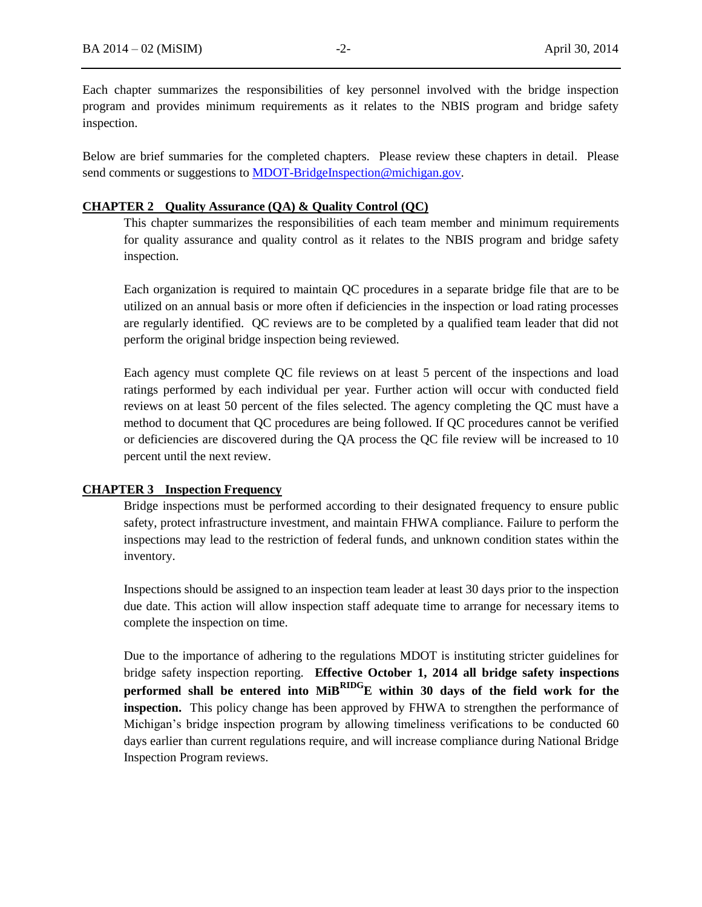Each chapter summarizes the responsibilities of key personnel involved with the bridge inspection program and provides minimum requirements as it relates to the NBIS program and bridge safety inspection.

Below are brief summaries for the completed chapters. Please review these chapters in detail. Please send comments or suggestions to MDOT-BridgeInspection@michigan.gov.

## **CHAPTER 2 Quality Assurance (QA) & Quality Control (QC)**

This chapter summarizes the responsibilities of each team member and minimum requirements for quality assurance and quality control as it relates to the NBIS program and bridge safety inspection.

Each organization is required to maintain QC procedures in a separate bridge file that are to be utilized on an annual basis or more often if deficiencies in the inspection or load rating processes are regularly identified. QC reviews are to be completed by a qualified team leader that did not perform the original bridge inspection being reviewed.

Each agency must complete QC file reviews on at least 5 percent of the inspections and load ratings performed by each individual per year. Further action will occur with conducted field reviews on at least 50 percent of the files selected. The agency completing the QC must have a method to document that QC procedures are being followed. If QC procedures cannot be verified or deficiencies are discovered during the QA process the QC file review will be increased to 10 percent until the next review.

#### **CHAPTER 3 Inspection Frequency**

Bridge inspections must be performed according to their designated frequency to ensure public safety, protect infrastructure investment, and maintain FHWA compliance. Failure to perform the inspections may lead to the restriction of federal funds, and unknown condition states within the inventory.

Inspections should be assigned to an inspection team leader at least 30 days prior to the inspection due date. This action will allow inspection staff adequate time to arrange for necessary items to complete the inspection on time.

Due to the importance of adhering to the regulations MDOT is instituting stricter guidelines for bridge safety inspection reporting. **Effective October 1, 2014 all bridge safety inspections performed shall be entered into MiBRIDGE within 30 days of the field work for the inspection.** This policy change has been approved by FHWA to strengthen the performance of Michigan's bridge inspection program by allowing timeliness verifications to be conducted 60 days earlier than current regulations require, and will increase compliance during National Bridge Inspection Program reviews.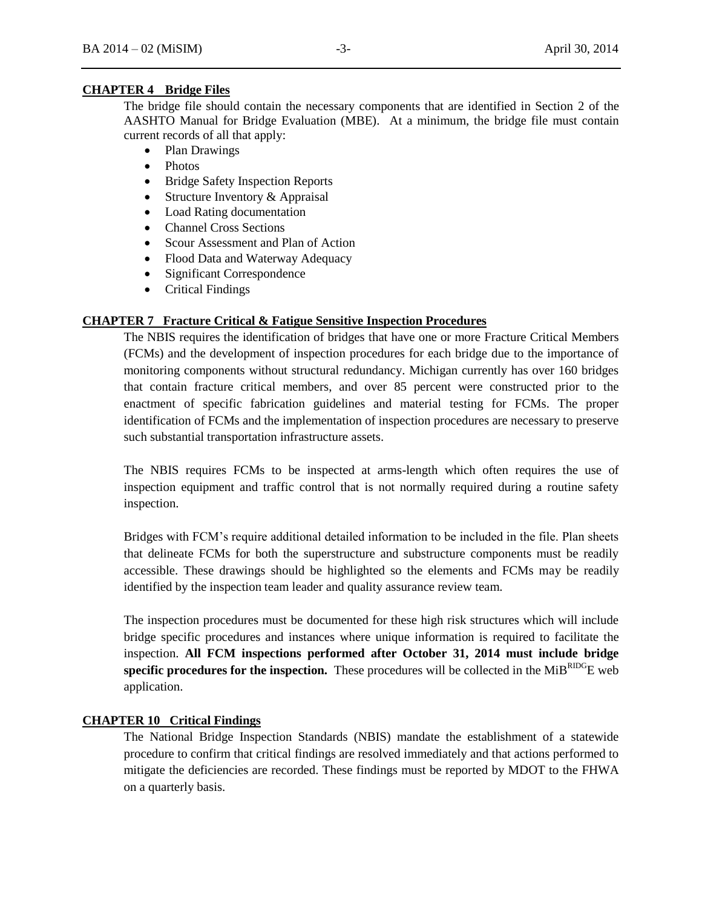# **CHAPTER 4 Bridge Files**

The bridge file should contain the necessary components that are identified in Section 2 of the AASHTO Manual for Bridge Evaluation (MBE). At a minimum, the bridge file must contain current records of all that apply:

- Plan Drawings
- Photos
- Bridge Safety Inspection Reports
- Structure Inventory  $&$  Appraisal
- Load Rating documentation
- Channel Cross Sections
- Scour Assessment and Plan of Action
- Flood Data and Waterway Adequacy
- Significant Correspondence
- Critical Findings

## **CHAPTER 7 Fracture Critical & Fatigue Sensitive Inspection Procedures**

The NBIS requires the identification of bridges that have one or more Fracture Critical Members (FCMs) and the development of inspection procedures for each bridge due to the importance of monitoring components without structural redundancy. Michigan currently has over 160 bridges that contain fracture critical members, and over 85 percent were constructed prior to the enactment of specific fabrication guidelines and material testing for FCMs. The proper identification of FCMs and the implementation of inspection procedures are necessary to preserve such substantial transportation infrastructure assets.

The NBIS requires FCMs to be inspected at arms-length which often requires the use of inspection equipment and traffic control that is not normally required during a routine safety inspection.

Bridges with FCM's require additional detailed information to be included in the file. Plan sheets that delineate FCMs for both the superstructure and substructure components must be readily accessible. These drawings should be highlighted so the elements and FCMs may be readily identified by the inspection team leader and quality assurance review team.

The inspection procedures must be documented for these high risk structures which will include bridge specific procedures and instances where unique information is required to facilitate the inspection. **All FCM inspections performed after October 31, 2014 must include bridge specific procedures for the inspection.** These procedures will be collected in the  $MiB^{RDO}E$  web application.

## **CHAPTER 10 Critical Findings**

The National Bridge Inspection Standards (NBIS) mandate the establishment of a statewide procedure to confirm that critical findings are resolved immediately and that actions performed to mitigate the deficiencies are recorded. These findings must be reported by MDOT to the FHWA on a quarterly basis.